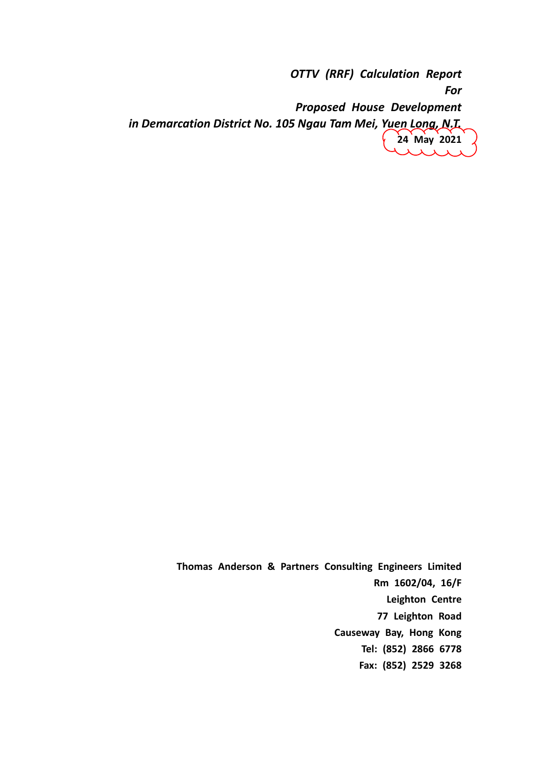*OTTV (RRF) Calculation Report For Proposed House Development in Demarcation District No. 105 Ngau Tam Mei, Yuen Long, N.T.*  **24 May 2021**

> **Thomas Anderson & Partners Consulting Engineers Limited Rm 1602/04, 16/F Leighton Centre 77 Leighton Road Causeway Bay, Hong Kong Tel: (852) 2866 6778 Fax: (852) 2529 3268**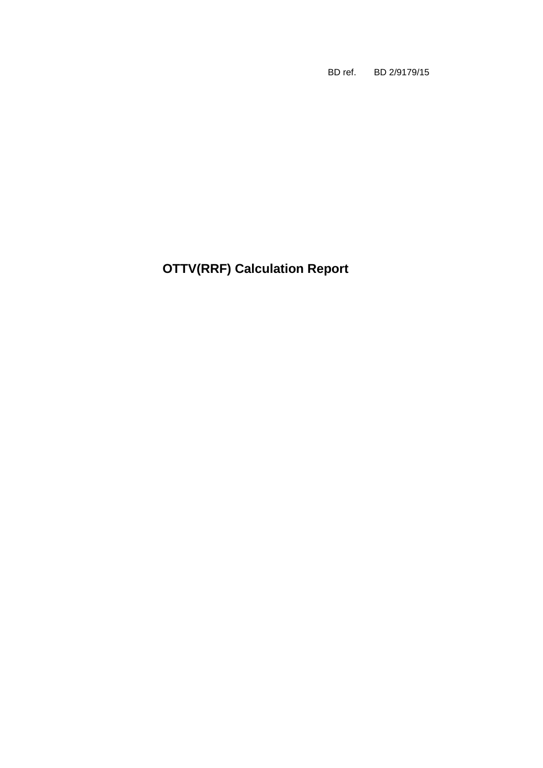BD ref. BD 2/9179/15

**OTTV(RRF) Calculation Report**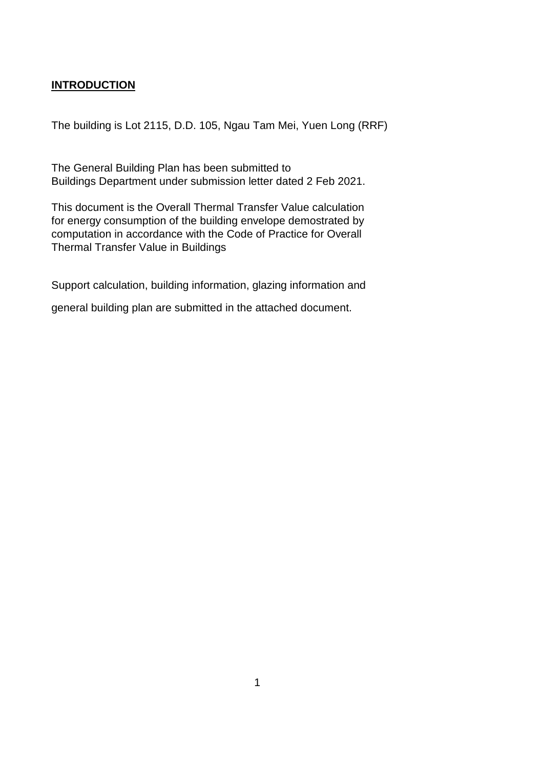## **INTRODUCTION**

The building is Lot 2115, D.D. 105, Ngau Tam Mei, Yuen Long (RRF)

The General Building Plan has been submitted to Buildings Department under submission letter dated 2 Feb 2021.

This document is the Overall Thermal Transfer Value calculation for energy consumption of the building envelope demostrated by computation in accordance with the Code of Practice for Overall Thermal Transfer Value in Buildings

Support calculation, building information, glazing information and

general building plan are submitted in the attached document.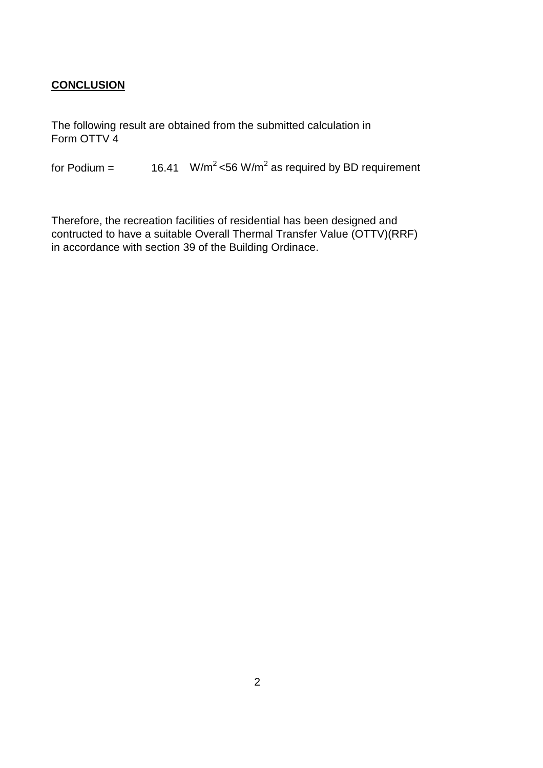## **CONCLUSION**

The following result are obtained from the submitted calculation in Form OTTV 4

for Podium =  $16.41$  W/m<sup>2</sup> <56 W/m<sup>2</sup> as required by BD requirement

Therefore, the recreation facilities of residential has been designed and contructed to have a suitable Overall Thermal Transfer Value (OTTV)(RRF) in accordance with section 39 of the Building Ordinace.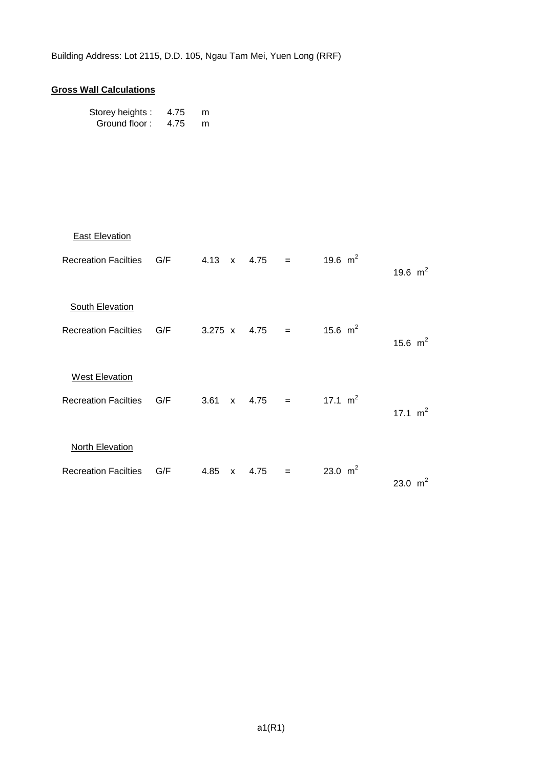## **Gross Wall Calculations**

| Storey heights: | 4.75 | m |
|-----------------|------|---|
| Ground floor:   | 4.75 | m |

| <b>East Elevation</b>    |  |  |                      |                                    |            |
|--------------------------|--|--|----------------------|------------------------------------|------------|
| Recreation Facilties G/F |  |  |                      | 4.13 x 4.75 = 19.6 m <sup>2</sup>  | 19.6 $m^2$ |
| <b>South Elevation</b>   |  |  |                      |                                    |            |
| Recreation Facilties G/F |  |  |                      | 3.275 x 4.75 = 15.6 m <sup>2</sup> | 15.6 $m^2$ |
| <b>West Elevation</b>    |  |  |                      |                                    |            |
| Recreation Facilties G/F |  |  |                      | 3.61 x 4.75 = 17.1 m <sup>2</sup>  | 17.1 $m^2$ |
| <b>North Elevation</b>   |  |  |                      |                                    |            |
| Recreation Facilties G/F |  |  | $4.85 \times 4.75 =$ | 23.0 $m^2$                         | 23.0 $m^2$ |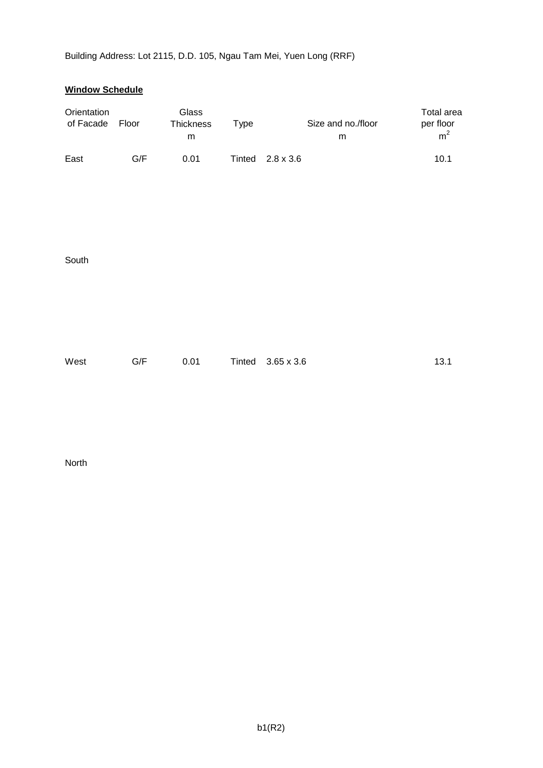## **Window Schedule**

| Orientation<br>of Facade | Floor | Glass<br>Thickness<br>${\sf m}$ | <b>Type</b> | Size and no./floor<br>m | Total area<br>per floor<br>m <sup>2</sup> |
|--------------------------|-------|---------------------------------|-------------|-------------------------|-------------------------------------------|
| East                     | G/F   | 0.01                            | Tinted      | $2.8 \times 3.6$        | 10.1                                      |
| South                    |       |                                 |             |                         |                                           |
| West                     | G/F   | 0.01                            | Tinted      | $3.65 \times 3.6$       | 13.1                                      |

North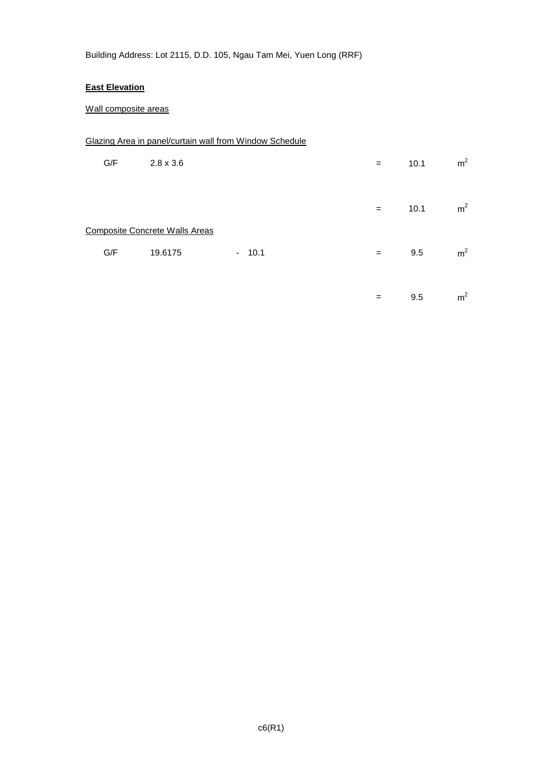#### **East Elevation**

## Wall composite areas

|     |                                                  | Glazing Area in panel/curtain wall from Window Schedule |     |      |                |
|-----|--------------------------------------------------|---------------------------------------------------------|-----|------|----------------|
| G/F | $2.8 \times 3.6$                                 |                                                         | $=$ | 10.1 | m <sup>2</sup> |
|     |                                                  |                                                         | $=$ | 10.1 | m <sup>2</sup> |
| G/F | <b>Composite Concrete Walls Areas</b><br>19.6175 | $-10.1$                                                 | $=$ | 9.5  | m <sup>2</sup> |
|     |                                                  |                                                         | $=$ | 9.5  | m <sup>2</sup> |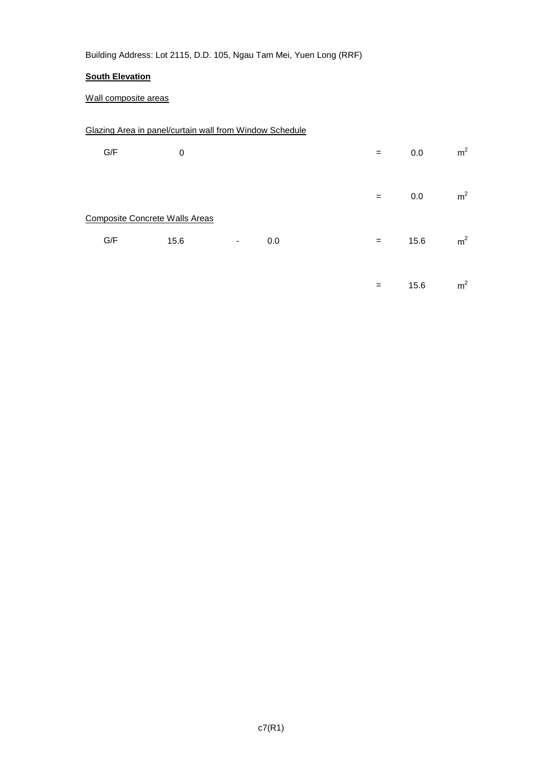## **South Elevation**

## Wall composite areas

## Glazing Area in panel/curtain wall from Window Schedule

| G/F | $\pmb{0}$                             |   |     | $=$ | 0.0  | m <sup>2</sup> |
|-----|---------------------------------------|---|-----|-----|------|----------------|
|     |                                       |   |     | $=$ | 0.0  | m <sup>2</sup> |
|     | <b>Composite Concrete Walls Areas</b> |   |     |     |      |                |
| G/F | 15.6                                  | ٠ | 0.0 | $=$ | 15.6 | m <sup>2</sup> |
|     |                                       |   |     |     |      |                |
|     |                                       |   |     | $=$ | 15.6 | m <sup>2</sup> |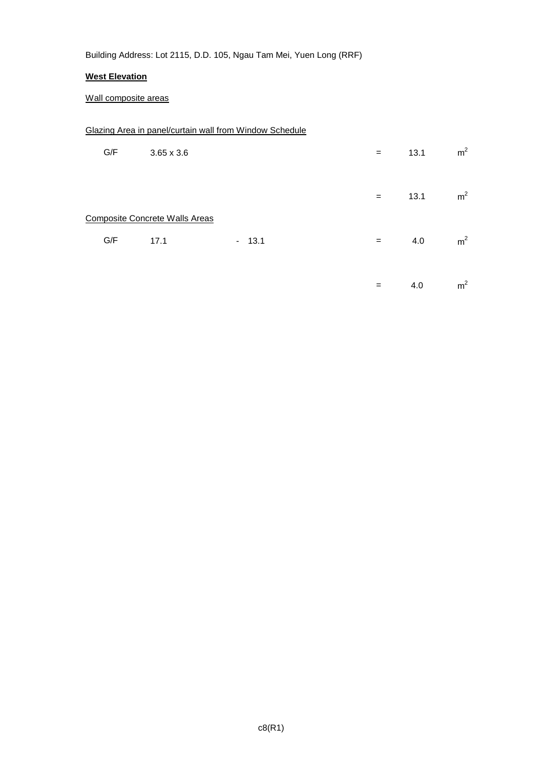## **West Elevation**

## Wall composite areas

## Glazing Area in panel/curtain wall from Window Schedule

| G/F | $3.65 \times 3.6$                             |         | $=$ | 13.1 | m <sup>2</sup> |
|-----|-----------------------------------------------|---------|-----|------|----------------|
|     |                                               |         | $=$ | 13.1 | m <sup>2</sup> |
| G/F | <b>Composite Concrete Walls Areas</b><br>17.1 | $-13.1$ | $=$ | 4.0  | m <sup>2</sup> |
|     |                                               |         | $=$ | 4.0  | m <sup>2</sup> |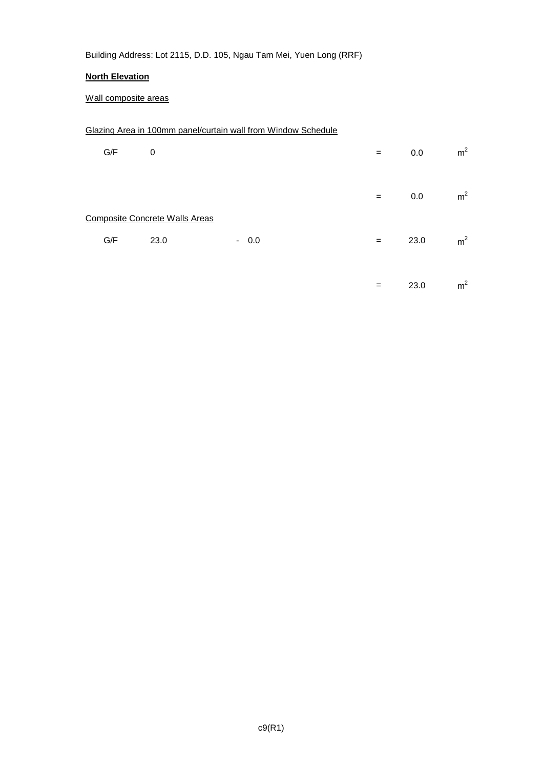## **North Elevation**

## Wall composite areas

## Glazing Area in 100mm panel/curtain wall from Window Schedule

| G/F | $\mathbf 0$                                   |        | $=$ | 0.0  | m <sup>2</sup> |
|-----|-----------------------------------------------|--------|-----|------|----------------|
|     |                                               |        | $=$ | 0.0  | m <sup>2</sup> |
| G/F | <b>Composite Concrete Walls Areas</b><br>23.0 | $-0.0$ | $=$ | 23.0 | m <sup>2</sup> |
|     |                                               |        | $=$ | 23.0 | m <sup>2</sup> |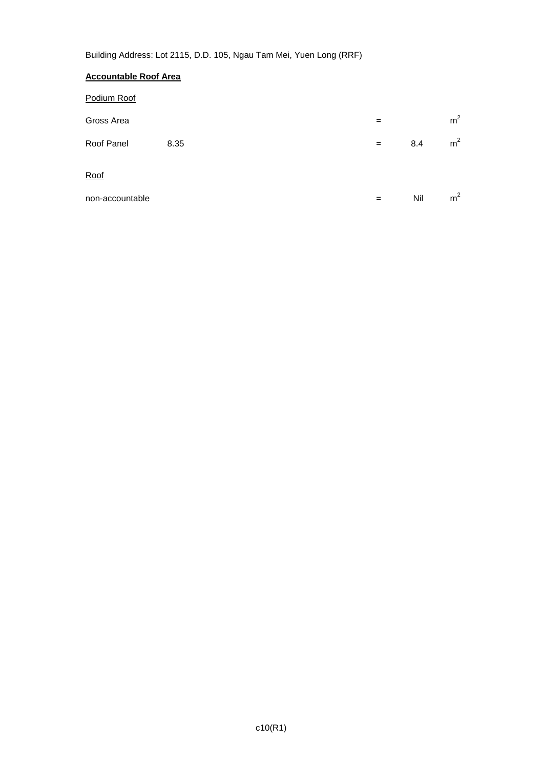## **Accountable Roof Area**

| Podium Roof     |      |     |     |                |
|-----------------|------|-----|-----|----------------|
| Gross Area      |      | $=$ |     | m <sup>2</sup> |
| Roof Panel      | 8.35 | $=$ | 8.4 | m <sup>2</sup> |
| Roof            |      |     |     |                |
| non-accountable |      | $=$ | Nil | m <sup>2</sup> |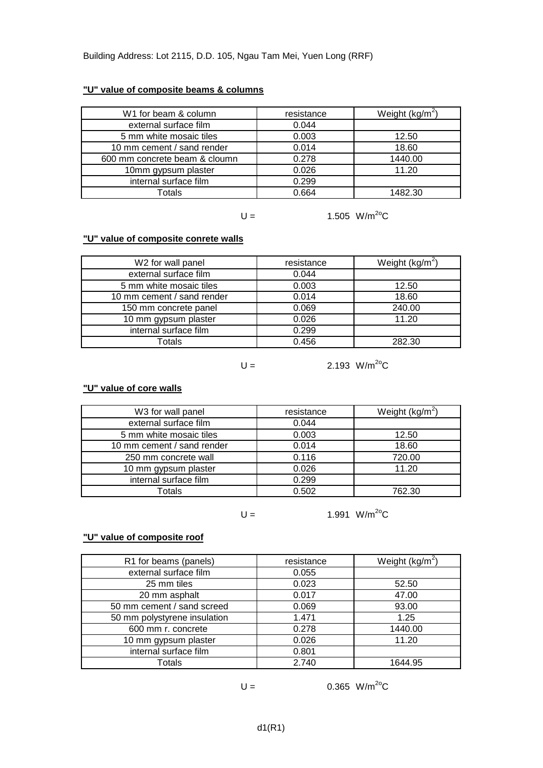## **"U" value of composite beams & columns**

| W1 for beam & column          | resistance | Weight $(kg/m^2)$ |
|-------------------------------|------------|-------------------|
| external surface film         | 0.044      |                   |
| 5 mm white mosaic tiles       | 0.003      | 12.50             |
| 10 mm cement / sand render    | 0.014      | 18.60             |
| 600 mm concrete beam & cloumn | 0.278      | 1440.00           |
| 10mm gypsum plaster           | 0.026      | 11.20             |
| internal surface film         | 0.299      |                   |
| Totals                        | 0.664      | 1482.30           |

 $U =$  1.505 W/m<sup>2o</sup>C

#### **"U" value of composite conrete walls**

| W2 for wall panel          | resistance | Weight ( $kg/m2$ ) |
|----------------------------|------------|--------------------|
| external surface film      | 0.044      |                    |
| 5 mm white mosaic tiles    | 0.003      | 12.50              |
| 10 mm cement / sand render | 0.014      | 18.60              |
| 150 mm concrete panel      | 0.069      | 240.00             |
| 10 mm gypsum plaster       | 0.026      | 11.20              |
| internal surface film      | 0.299      |                    |
| Totals                     | 0.456      | 282.30             |

 $U =$  2.193 W/m<sup>2o</sup>C

#### **"U" value of core walls**

| W3 for wall panel          | resistance | Weight ( $kg/m2$ ) |
|----------------------------|------------|--------------------|
| external surface film      | 0.044      |                    |
| 5 mm white mosaic tiles    | 0.003      | 12.50              |
| 10 mm cement / sand render | 0.014      | 18.60              |
| 250 mm concrete wall       | 0.116      | 720.00             |
| 10 mm gypsum plaster       | 0.026      | 11.20              |
| internal surface film      | 0.299      |                    |
| Totals                     | 0.502      | 762.30             |

 $U =$  1.991 W/m<sup>2o</sup>C

## **"U" value of composite roof**

| R1 for beams (panels)        | resistance | Weight $(kg/m^2)$ |
|------------------------------|------------|-------------------|
| external surface film        | 0.055      |                   |
| 25 mm tiles                  | 0.023      | 52.50             |
| 20 mm asphalt                | 0.017      | 47.00             |
| 50 mm cement / sand screed   | 0.069      | 93.00             |
| 50 mm polystyrene insulation | 1.471      | 1.25              |
| 600 mm r. concrete           | 0.278      | 1440.00           |
| 10 mm gypsum plaster         | 0.026      | 11.20             |
| internal surface film        | 0.801      |                   |
| Totals                       | 2.740      | 1644.95           |

$$
\mathsf{U} =
$$

 $0.365$  W/m<sup>2o</sup>C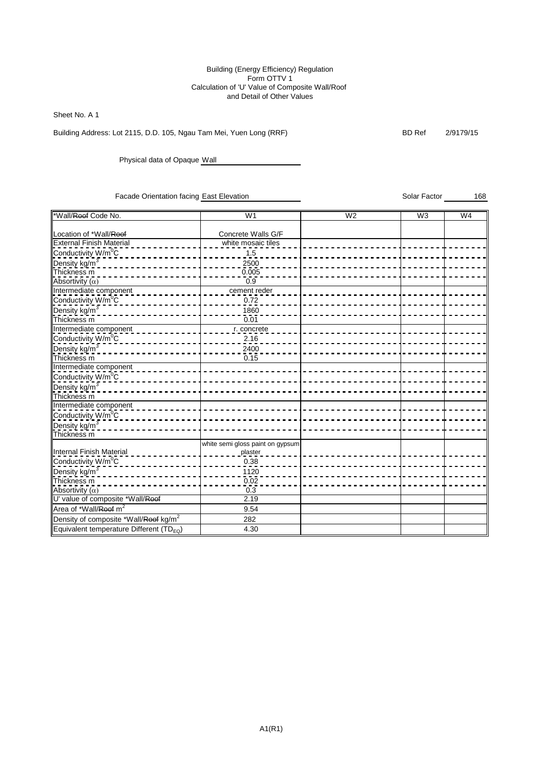#### Building (Energy Efficiency) Regulation Form OTTV 1 Calculation of 'U' Value of Composite Wall/Roof and Detail of Other Values

Sheet No. A 1

Building Address: Lot 2115, D.D. 105, Ngau Tam Mei, Yuen Long (RRF) BD Ref 2/9179/15

Physical data of Opaque Wall

Facade Orientation facing East Elevation Schar Factor (Separation Solar Factor 168

\*Wall/Roof Code No. W1 W2 W3 W4 Location of \*Wall/<del>Roof</del> Concrete Walls G/F External Finish Material  $\begin{array}{c} \n\hline\n\end{array}$  white mosaic tiles Conductivity W/m<sup>0</sup>C 1.5 Pensity kg/m<sup>3</sup>  $\frac{2500}{0.005}$ Thickness m 0.005 Absortivity  $(\alpha)$ Intermediate component \_ \_ \_ \_ \_ \_ \_ \_ \_ \_ \_ \_ \_ \_ \_ \_ \_ cement reder Conductivity  $W/m^0C$  0.72 Density kg/m<sup>3</sup> 1860 Thickness m 0.01 Intermediate component \_ \_ \_ \_ \_ \_ \_ \_ \_ \_ \_ \_ \_ \_ \_ \_ \_ \_ r. concrete Conductivity W/m<sup>0</sup>C 2.16 <u>Density kg/m<sup>3</sup></u>  $\frac{2400}{0.15}$ Thickness m Intermediate component Conductivity W/m<sup>o</sup>C <u>---------</u><br><u>Density kg/m3</u> Thickness m Intermediate component Conductivity W/m<sup>0</sup>C Density kg/m<sup>3</sup> Thickness m Internal Finish Material white semi gloss paint on gypsum plaster Conductivity W/m<sup>0</sup>C 0.38 Dens<u>ity kg/m<sup>3</sup>\_</u>  $\frac{1120}{0.02}$  – **Thickness m** 0.02 Absortivity  $(\alpha)$  0.3 U' value of composite \*Wall/Roof **2.19** Area of \*Wall/<del>Roof</del> m<sup>2</sup> 9.54 Density of composite \*Wall/<del>Roof</del> kg/m<sup>2</sup> 282 Equivalent temperature Different  $(TD_{EQ})$  | 4.30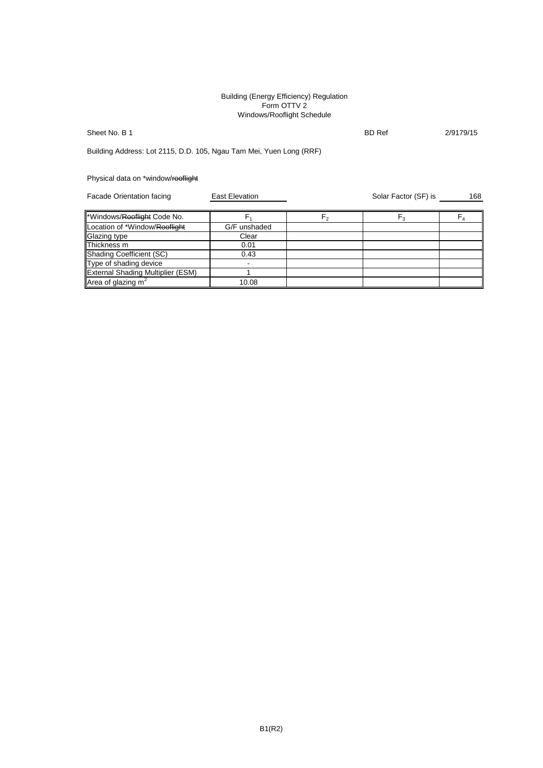#### Building (Energy Efficiency) Regulation Form OTTV 2 Windows/Rooflight Schedule

Sheet No. B 1 2/9179/15

Building Address: Lot 2115, D.D. 105, Ngau Tam Mei, Yuen Long (RRF)

Physical data on \*window/rooflight

Facade Orientation facing **East Elevation** Contains Colar Factor (SF) is 168 \*Windows/<del>Rooflight</del> Code No. F<sub>1</sub> F<sub>2</sub> F<sub>4</sub> Location of \*Window/Rooflight G/F unshaded Glazing type **Clear** Thickness m 0.01 Shading Coefficient (SC) 80.43 Type of shading device **and in the set of shading device** External Shading Multiplier (ESM) 1 Area of glazing  $m<sup>2</sup>$ 10.08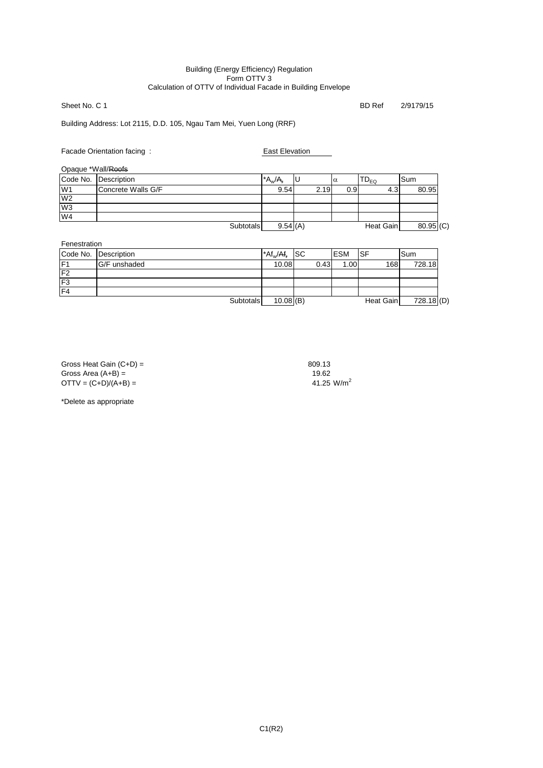#### Building (Energy Efficiency) Regulation Form OTTV 3 Calculation of OTTV of Individual Facade in Building Envelope

Sheet No. C 1 BD Ref 2/9179/15

Building Address: Lot 2115, D.D. 105, Ngau Tam Mei, Yuen Long (RRF)

Facade Orientation facing : East Elevation

Opaque \*Wall/Roofs

|                | $PQQQQQV = IQQU$   |                  |             |      |                  |           |             |
|----------------|--------------------|------------------|-------------|------|------------------|-----------|-------------|
| Code No.       | Description        |                  | $^*A_w/A_v$ | ΙU   | $\alpha$         | $D_{EQ}$  | Sum         |
| W <sub>1</sub> | Concrete Walls G/F |                  | 9.54        | 2.19 | 0.9 <sub>l</sub> | 4.3       | 80.95       |
| W <sub>2</sub> |                    |                  |             |      |                  |           |             |
| W <sub>3</sub> |                    |                  |             |      |                  |           |             |
| W4             |                    |                  |             |      |                  |           |             |
|                |                    | <b>Subtotals</b> | 9.54(A)     |      |                  | Heat Gain | $80.95$ (C) |
|                |                    |                  |             |      |                  |           |             |

Fenestration

| <b>UNUURUUT</b> |                      |           |                        |           |            |           |              |
|-----------------|----------------------|-----------|------------------------|-----------|------------|-----------|--------------|
|                 | Code No. Description |           | $*At_w/At_r$           | <b>SC</b> | <b>ESM</b> | ISF       | ISum         |
| IF <sub>1</sub> | G/F unshaded         |           | 10.08                  | 0.43      | 1.00       | 168       | 728.18       |
| F <sub>2</sub>  |                      |           |                        |           |            |           |              |
| F <sub>3</sub>  |                      |           |                        |           |            |           |              |
| $\overline{F4}$ |                      |           |                        |           |            |           |              |
|                 |                      | Subtotals | $10.08$ <sup>(B)</sup> |           |            | Heat Gain | $728.18$ (D) |

Gross Heat Gain  $(C+D) =$ <br>
809.13<br>
Gross Area  $(A+B) =$ <br>
19.62 Gross Area (A+B) = 19.62<br>
OTTV = (C+D)/(A+B) = 19.62<br>
41.25 W/m<sup>2</sup>  $OTTV = (C+D)/(A+B) =$ 

\*Delete as appropriate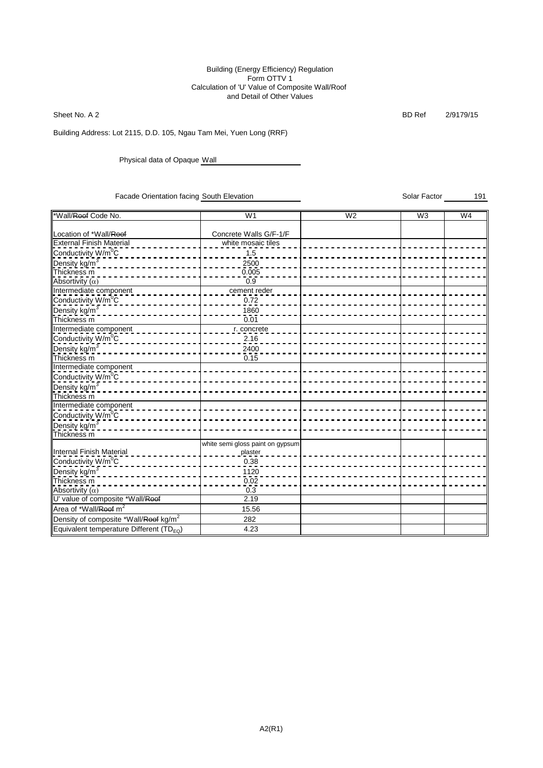#### Building (Energy Efficiency) Regulation Form OTTV 1 Calculation of 'U' Value of Composite Wall/Roof and Detail of Other Values

Sheet No. A 2 BD Ref 2/9179/15

Building Address: Lot 2115, D.D. 105, Ngau Tam Mei, Yuen Long (RRF)

Physical data of Opaque Wall

Facade Orientation facing South Elevation Summary Solar Factor Solar Factor 191

\*Wall/Roof Code No. W1 W2 W3 W4 Location of \*Wall/Roof Concrete Walls G/F-1/F External Finish Material  $\begin{array}{c} \begin{array}{c} \end{array}$  white mosaic tiles Conductivity W/m<sup>0</sup>C 1.5 Pensity kg/m<sup>3</sup>  $\frac{2500}{0.005}$ Thickness m 0.005  $\overline{\mathsf{Abs}}$ ortivity  $\overline{(\alpha)}$ Intermediate component \_ \_ \_ \_ \_ \_ \_ \_ \_ \_ \_ \_ \_ \_ \_ \_ \_ cement reder Conductivity  $W/m^0C$  0.72 Density kg/m<sup>3</sup> 1860 Thickness m 0.01 Intermediate component \_ \_ \_ \_ \_ \_ \_ \_ \_ \_ \_ \_ \_ \_ \_ \_ \_ \_ r. concrete Conductivity W/m<sup>o</sup>C 2002 2002 2003 2004 2010 2010 <u>Density kg/m<sup>3</sup></u>  $\frac{2400}{0.15}$ Thickness m Intermediate component Conductivity W/m<sup>o</sup>C <u>---------</u><br><u>Density kg/m3</u> Thickness m Intermediate component Conductivity W/m<sup>0</sup>C Density kg/m<sup>3</sup> Thickness m Internal Finish Material white semi gloss paint on gypsum plaster Conductivity W/m<sup>0</sup>C 0.38 Dens<u>ity kg/m<sup>3</sup>\_</u>  $\frac{1120}{0.02}$  - -**Thickness m** 0.02 Absortivity  $(\alpha)$  0.3 U' value of composite \*Wall/Roof **2.19** Area of \*Wall/<del>Roof</del> m<sup>2</sup> 15.56 Density of composite \*Wall/<del>Roof</del> kg/m<sup>2</sup> 282 Equivalent temperature Different  $(TD_{EQ})$  | 4.23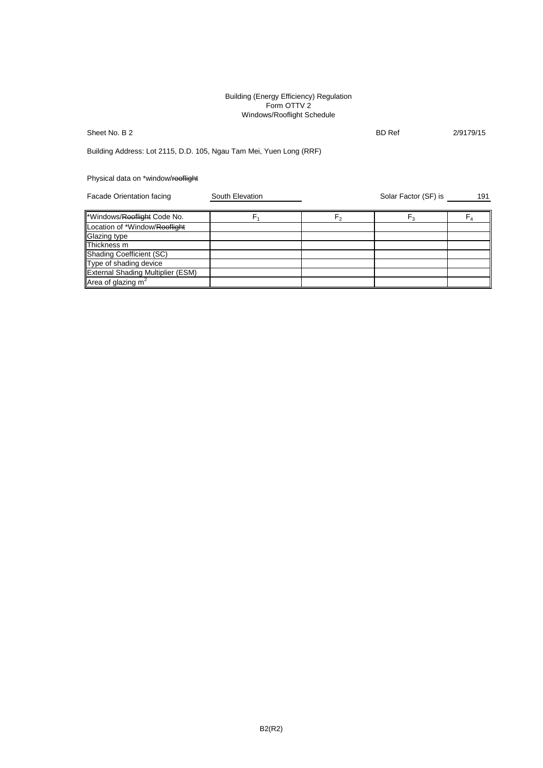#### Building (Energy Efficiency) Regulation Form OTTV 2 Windows/Rooflight Schedule

## Sheet No. B 2 8/9179/15

Building Address: Lot 2115, D.D. 105, Ngau Tam Mei, Yuen Long (RRF)

## Physical data on \*window/rooflight

| Facade Orientation facing                | South Elevation |                | Solar Factor (SF) is | 191 |
|------------------------------------------|-----------------|----------------|----------------------|-----|
| *Windows/Rooflight Code No.              |                 | F <sub>2</sub> | $F_3$                |     |
| Location of *Window/Rooflight            |                 |                |                      |     |
| Glazing type                             |                 |                |                      |     |
| Thickness m                              |                 |                |                      |     |
| <b>Shading Coefficient (SC)</b>          |                 |                |                      |     |
| Type of shading device                   |                 |                |                      |     |
| <b>External Shading Multiplier (ESM)</b> |                 |                |                      |     |
| Area of glazing $m2$                     |                 |                |                      |     |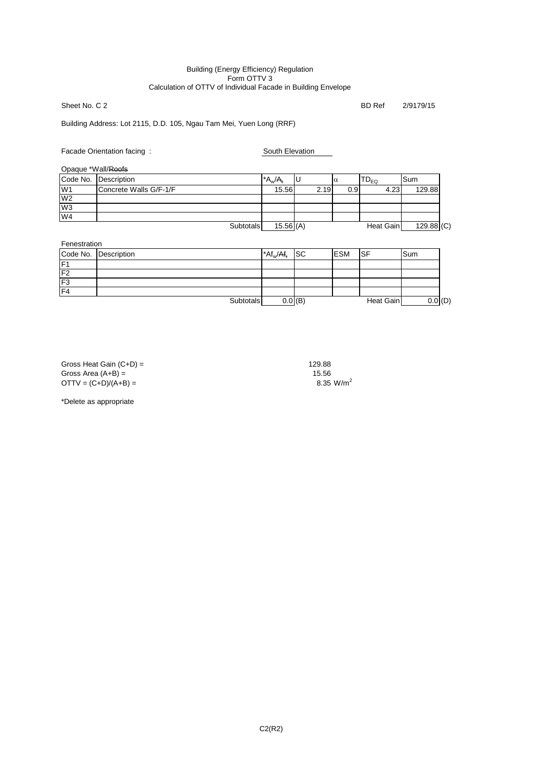#### Building (Energy Efficiency) Regulation Form OTTV 3 Calculation of OTTV of Individual Facade in Building Envelope

Sheet No. C 2 BD Ref 2/9179/15

## Building Address: Lot 2115, D.D. 105, Ngau Tam Mei, Yuen Long (RRF)

## Facade Orientation facing : South Elevation

Opaque \*Wall/Roofs

| Opaguo <i>Wallitoolo</i> |                        |           |           |      |     |                           |              |
|--------------------------|------------------------|-----------|-----------|------|-----|---------------------------|--------------|
| Code No.                 | Description            |           | $A_w/A_r$ | ΙU   | Iα  | $\mathsf{TD}_\mathsf{EO}$ | lSum         |
| W <sub>1</sub>           | Concrete Walls G/F-1/F |           | 15.56     | 2.19 | 0.9 | 4.23                      | 129.88       |
| W <sub>2</sub>           |                        |           |           |      |     |                           |              |
| W <sub>3</sub>           |                        |           |           |      |     |                           |              |
| W <sub>4</sub>           |                        |           |           |      |     |                           |              |
|                          |                        | Subtotals | 15.56(A)  |      |     | Heat Gain                 | $129.88$ (C) |

| Fenestration    |                      |           |                                      |                      |            |           |     |     |
|-----------------|----------------------|-----------|--------------------------------------|----------------------|------------|-----------|-----|-----|
|                 | Code No. Description |           | $*$ Af <sub>w</sub> /Af <sub>r</sub> | <b>SC</b>            | <b>ESM</b> | ISF       | Sum |     |
| IF              |                      |           |                                      |                      |            |           |     |     |
| F <sub>2</sub>  |                      |           |                                      |                      |            |           |     |     |
| F <sub>3</sub>  |                      |           |                                      |                      |            |           |     |     |
| $\overline{F4}$ |                      |           |                                      |                      |            |           |     |     |
|                 |                      | Subtotals |                                      | $0.0$ <sub>(B)</sub> |            | Heat Gain |     | (D) |

Gross Heat Gain  $(C+D) =$ <br>Gross Area  $(A+B) =$  129.88 Gross Area (A+B) = 15.56<br>
OTTV = (C+D)/(A+B) = 15.56<br>
8.35 W/m<sup>2</sup>  $OTTV = (C+D)/(A+B) =$ 

\*Delete as appropriate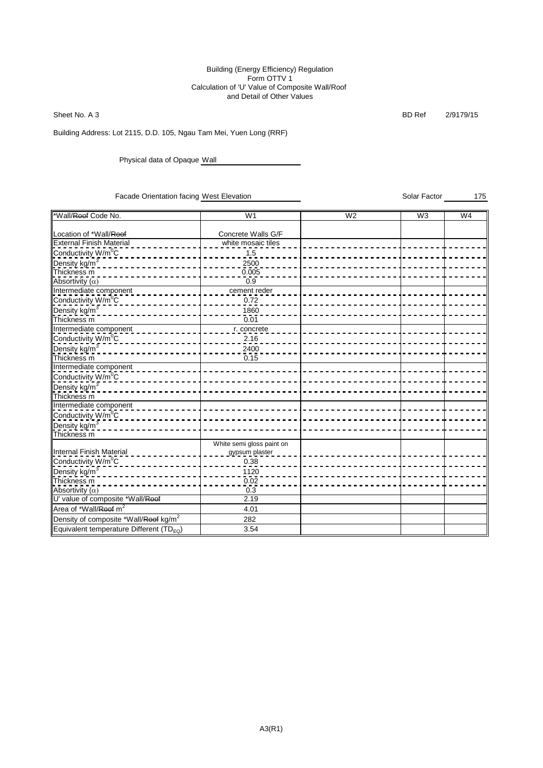#### Building (Energy Efficiency) Regulation Form OTTV 1 Calculation of 'U' Value of Composite Wall/Roof and Detail of Other Values

Sheet No. A 3 BD Ref 2/9179/15

Building Address: Lot 2115, D.D. 105, Ngau Tam Mei, Yuen Long (RRF)

Physical data of Opaque Wall

Facade Orientation facing West Elevation School Solar Factor 50 and 175

\*Wall/Roof Code No. W1 W2 W3 W4 Location of \*Wall/Roof Concrete Walls G/F External Finish Material  $\begin{array}{c} \n\hline\n\end{array}$  white mosaic tiles Conductivity W/m<sup>0</sup>C 1.5 Pensity kg/m<sup>3</sup>  $\frac{2500}{0.005}$ Thickness m 0.005  $\overline{\mathsf{Abs}}$ ortivity  $\overline{(\alpha)}$ Intermediate component \_ \_ \_ \_ \_ \_ \_ \_ \_ \_ \_ \_ \_ \_ \_ \_ \_ cement reder Conductivity  $W/m^0C$  0.72 Density kg/m<sup>3</sup> 1860 Thickness m 0.01 Intermediate component \_ \_ \_ \_ \_ \_ \_ \_ \_ \_ \_ \_ \_ \_ \_ \_ \_ \_ r. concrete Conductivity W/m<sup>o</sup>C 2002 2002 2003 2004 2010 2010 <u>Density kg/m<sup>3</sup></u>  $\frac{2400}{0.15}$ Thickness m Intermediate component Conductivity W/m<sup>o</sup>C Density kg/m<sup>3</sup> Thickness m Intermediate component **Conductivity W/m<sup>0</sup>C** Density kg/m<sup>3</sup> Thickness m Internal Finish Material White semi gloss paint on gypsum plaster Conductivity W/m<sup>0</sup>C 0.38 Dens<u>ity kg/m<sup>3</sup>\_</u>  $\frac{1120}{0.02}$  – **Thickness m** 0.02 Absortivity  $(\alpha)$  0.3 U' value of composite \*Wall/Roof **2.19** Area of \*Wall/<del>Roof</del> m<sup>2</sup> 4.01 Density of composite \*Wall/<del>Roof</del> kg/m<sup>2</sup> 282 Equivalent temperature Different  $(TD_{EQ})$  | 3.54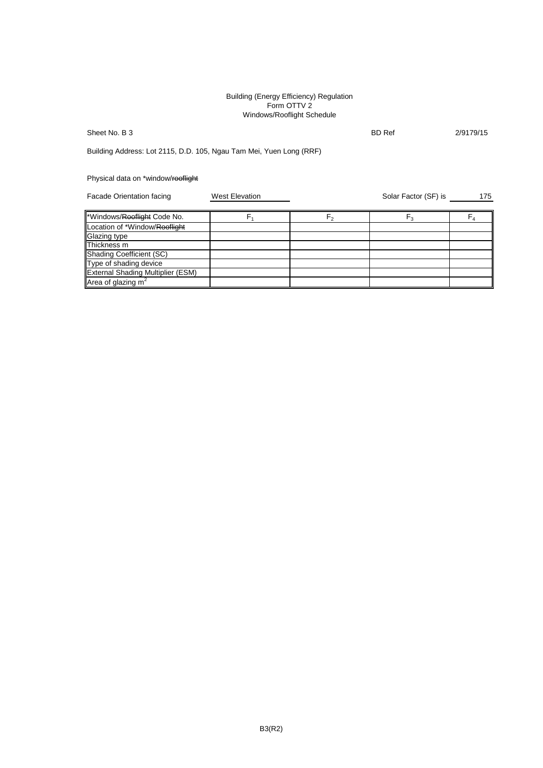#### Building (Energy Efficiency) Regulation Form OTTV 2 Windows/Rooflight Schedule

Sheet No. B 3 2/9179/15

Building Address: Lot 2115, D.D. 105, Ngau Tam Mei, Yuen Long (RRF)

Physical data on \*window/rooflight

Facade Orientation facing West Elevation Number 2012 175 Solar Factor (SF) is 175 \*Windows/Rooflight Code No.  $F_1$  F<sub>1</sub> F<sub>2</sub> F<sub>3</sub> F<sub>3</sub> F<sub>4</sub> F<sub>4</sub> Location of \*Window/Rooflight Glazing type Thickness m Shading Coefficient (SC) Type of shading device External Shading Multiplier (ESM) Area of glazing  $m<sup>2</sup>$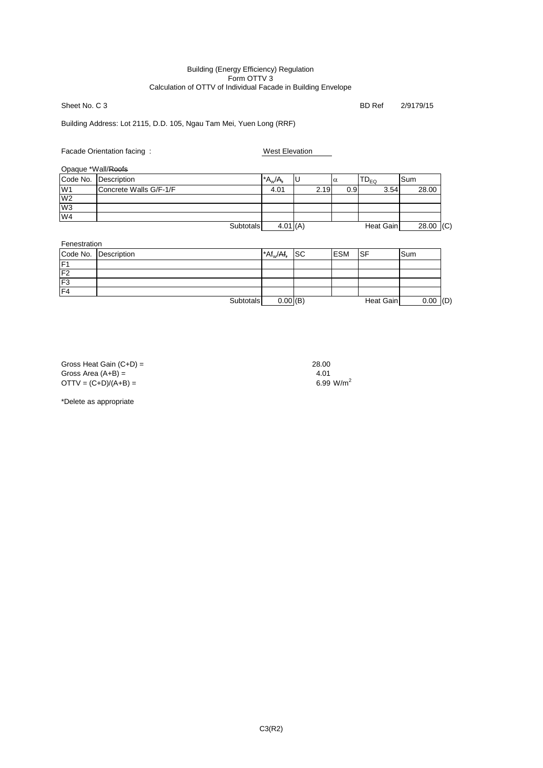#### Building (Energy Efficiency) Regulation Form OTTV 3 Calculation of OTTV of Individual Facade in Building Envelope

Sheet No. C 3 BD Ref 2/9179/15

## Building Address: Lot 2115, D.D. 105, Ngau Tam Mei, Yuen Long (RRF)

## Facade Orientation facing : West Elevation

Opaque \*Wall/Roofs

|                | opaguo <i>wall</i> uolo |                  |            |      |      |           |              |
|----------------|-------------------------|------------------|------------|------|------|-----------|--------------|
|                | Code No. Description    |                  | $A_w/A_r$  |      | Iα   | $TD_{EQ}$ | lSum         |
| W <sub>1</sub> | Concrete Walls G/F-1/F  |                  | 4.01       | 2.19 | 0.9I | 3.54      | 28.00        |
| W <sub>2</sub> |                         |                  |            |      |      |           |              |
| W <sub>3</sub> |                         |                  |            |      |      |           |              |
| W <sub>4</sub> |                         |                  |            |      |      |           |              |
|                |                         | <b>Subtotals</b> | $4.01$ (A) |      |      | Heat Gain | 28.00<br>(C) |

Fenestration

|                | Code No. Description | $A f_w / A f_r$ | <b>ISC</b> | <b>ESM</b> | ISF       | ISum |     |
|----------------|----------------------|-----------------|------------|------------|-----------|------|-----|
| IF1            |                      |                 |            |            |           |      |     |
| F <sub>2</sub> |                      |                 |            |            |           |      |     |
| F <sub>3</sub> |                      |                 |            |            |           |      |     |
| F <sub>4</sub> |                      |                 |            |            |           |      |     |
|                | Subtotals            | $0.00$ (B)      |            |            | Heat Gain | 0.00 | (D) |

| Gross Heat Gain $(C+D)$ = | 28.00 |
|---------------------------|-------|
| Gross Area $(A+B) =$      | 4.01  |
| $OTTV = (C+D)/(A+B) =$    | 6.99  |

 $6.99 \, W/m^2$ 

\*Delete as appropriate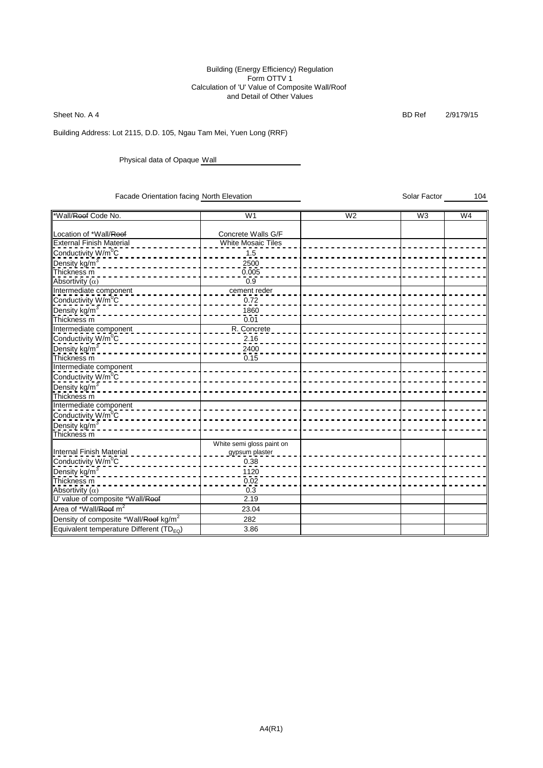#### Building (Energy Efficiency) Regulation Form OTTV 1 Calculation of 'U' Value of Composite Wall/Roof and Detail of Other Values

Sheet No. A 4 **BD Ref 2/9179/15** 

Building Address: Lot 2115, D.D. 105, Ngau Tam Mei, Yuen Long (RRF)

Physical data of Opaque Wall

Facade Orientation facing North Elevation Nation Solar Factor 104

| *Wall/Roof Code No.                               | W <sub>1</sub>            | W <sub>2</sub> | W <sub>3</sub> | W4 |
|---------------------------------------------------|---------------------------|----------------|----------------|----|
|                                                   |                           |                |                |    |
| Location of *Wall/Roof                            | Concrete Walls G/F        |                |                |    |
| <b>External Finish Material</b>                   | <b>White Mosaic Tiles</b> |                |                |    |
| Conductivity W/m <sup>o</sup> C                   | 1.5                       |                |                |    |
| Density kg/m <sup>3</sup>                         | 2500                      |                |                |    |
| Thickness m                                       | 0.005                     |                |                |    |
| Absortivity $(\alpha)$                            | 0.9                       |                |                |    |
| Intermediate component                            | cement reder              |                |                |    |
| Conductivity W/m <sup>o</sup> C                   | 0.72                      |                |                |    |
| Density kg/m <sup>3</sup>                         | 1860                      |                |                |    |
| Thickness m                                       | 0.01                      |                |                |    |
| Intermediate component                            | R. Concrete               |                |                |    |
| Conductivity W/m <sup>0</sup> C                   | 2.16                      |                |                |    |
| Density kg/m <sup>3</sup>                         | 2400                      |                |                |    |
| Thickness m                                       | $0.\overline{15}$         |                |                |    |
| Intermediate component                            |                           |                |                |    |
| Conductivity W/m <sup>0</sup> C                   |                           |                |                |    |
| Density kg/m <sup>3</sup>                         |                           |                |                |    |
| Thickness <sub>m</sub>                            |                           |                |                |    |
| Intermediate component                            |                           |                |                |    |
| Conductivity W/m <sup>0</sup> C                   |                           |                |                |    |
| Density kg/m <sup>3</sup>                         |                           |                |                |    |
| Thickness m                                       |                           |                |                |    |
|                                                   | White semi gloss paint on |                |                |    |
| Internal Finish Material                          | gypsum plaster            |                |                |    |
| Conductivity W/m <sup>0</sup> C                   | 0.38                      |                |                |    |
| Density kg/m <sup>3</sup>                         | 1120                      |                |                |    |
| Thickness m                                       | $0.\overline{0}2$         |                |                |    |
| Absortivity $(\alpha)$                            | 0.3                       |                |                |    |
| U' value of composite *Wall/Roof                  | 2.19                      |                |                |    |
| Area of *Wall/Roof m <sup>2</sup>                 | 23.04                     |                |                |    |
| Density of composite *Wall/Roof kg/m <sup>2</sup> | 282                       |                |                |    |
| Equivalent temperature Different (TD $_{FQ}$ )    | 3.86                      |                |                |    |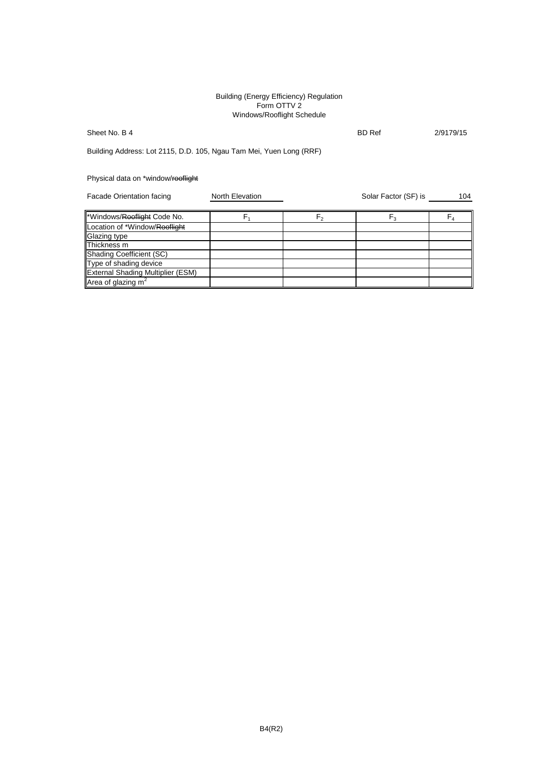#### Building (Energy Efficiency) Regulation Form OTTV 2 Windows/Rooflight Schedule

## Sheet No. B 4 2/9179/15

Building Address: Lot 2115, D.D. 105, Ngau Tam Mei, Yuen Long (RRF)

## Physical data on \*window/rooflight

| Facade Orientation facing         | <b>North Elevation</b> |    | Solar Factor (SF) is | 104     |
|-----------------------------------|------------------------|----|----------------------|---------|
| *Windows/Rooflight Code No.       |                        | Γ٥ | $F_3$                | $F_{4}$ |
| Location of *Window/Rooflight     |                        |    |                      |         |
| Glazing type                      |                        |    |                      |         |
| Thickness m                       |                        |    |                      |         |
| Shading Coefficient (SC)          |                        |    |                      |         |
| Type of shading device            |                        |    |                      |         |
| External Shading Multiplier (ESM) |                        |    |                      |         |
| Area of glazing $m2$              |                        |    |                      |         |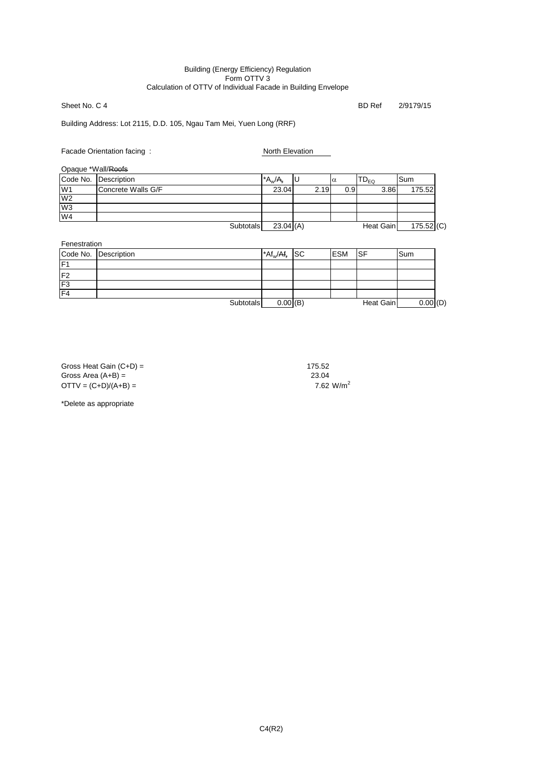#### Building (Energy Efficiency) Regulation Form OTTV 3 Calculation of OTTV of Individual Facade in Building Envelope

Sheet No. C 4 BD Ref 2/9179/15

Building Address: Lot 2115, D.D. 105, Ngau Tam Mei, Yuen Long (RRF)

Facade Orientation facing : North Elevation

Opaque \*Wall/Roofs

| Opaguo <i>Wall</i> usolo |                      |           |      |                  |                   |              |
|--------------------------|----------------------|-----------|------|------------------|-------------------|--------------|
|                          | Code No. Description | $A_w/A_r$ |      | Iα               | ้ D <sub>EQ</sub> | <b>Sum</b>   |
| W <sub>1</sub>           | Concrete Walls G/F   | 23.04     | 2.19 | 0.9 <sub>l</sub> | 3.86              | 175.52       |
| W <sub>2</sub>           |                      |           |      |                  |                   |              |
| W <sub>3</sub>           |                      |           |      |                  |                   |              |
| W4                       |                      |           |      |                  |                   |              |
|                          | Subtotals            | 23.04(A)  |      |                  | Heat Gain         | $175.52$ (C) |

| Fenestration    |                      |                                          |            |           |            |
|-----------------|----------------------|------------------------------------------|------------|-----------|------------|
|                 | Code No. Description | $^*$ Af <sub>w</sub> /Af <sub>r</sub> SC | <b>ESM</b> | ISF       | Sum        |
| $\overline{F1}$ |                      |                                          |            |           |            |
| F <sub>2</sub>  |                      |                                          |            |           |            |
| F <sub>3</sub>  |                      |                                          |            |           |            |
| F <sub>4</sub>  |                      |                                          |            |           |            |
|                 | Subtotals            | 0.00(B)                                  |            | Heat Gain | 0.00   (D) |

Gross Heat Gain  $(C+D) =$ <br>Gross Area  $(A+B) =$  175.52 Gross Area (A+B) = 23.04<br>
OTTV = (C+D)/(A+B) = 23.04<br>
23.04<br>
23.04<br>
23.04<br>
23.04  $OTTV = (C+D)/(A+B) =$ 

\*Delete as appropriate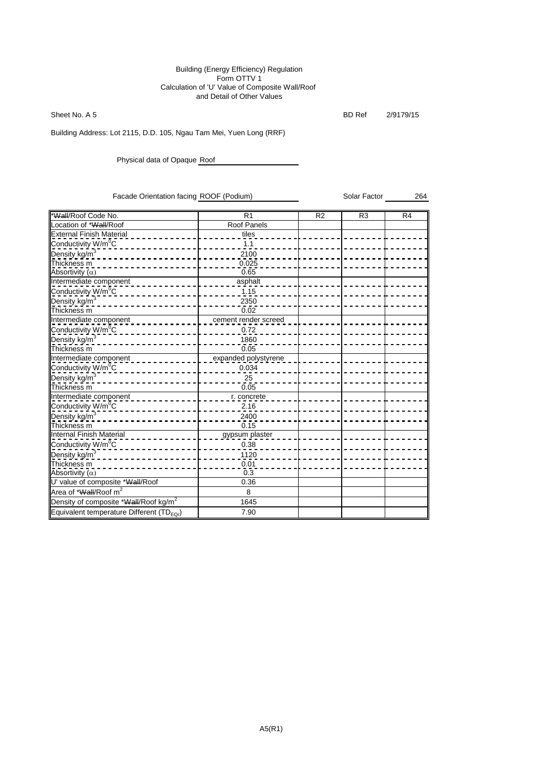#### Building (Energy Efficiency) Regulation Form OTTV 1 Calculation of 'U' Value of Composite Wall/Roof and Detail of Other Values

Sheet No. A 5 BD Ref 2/9179/15

Building Address: Lot 2115, D.D. 105, Ngau Tam Mei, Yuen Long (RRF)

Physical data of Opaque Roof

Facade Orientation facing ROOF (Podium) Solar Factor 50 Solar Factor 264

| *Wall/Roof Code No.                                   | $\overline{R}1$      | R <sub>2</sub> | R <sub>3</sub> | R <sub>4</sub> |
|-------------------------------------------------------|----------------------|----------------|----------------|----------------|
| Location of *Wall/Roof                                | Roof Panels          |                |                |                |
| <b>External Finish Material</b>                       | tiles                |                |                |                |
| Conductivity W/m <sup>o</sup> C                       | 1.1                  |                |                |                |
| Density kg/m <sup>3</sup>                             | 2100                 |                |                |                |
| Thickness m                                           | 0.025                |                |                |                |
| Absortivity $(\alpha)$                                | 0.65                 |                |                |                |
| Intermediate component                                | asphalt              |                |                |                |
| Conductivity W/m <sup>0</sup> C                       | 1.15                 |                |                |                |
| Density kg/m <sup>3</sup>                             | 2350                 |                |                |                |
| Thickness <sub>m</sub>                                | 0.02                 |                |                |                |
| Intermediate component                                | cement render screed |                |                |                |
| Conductivity W/m <sup>o</sup> C                       | 0.72                 |                |                |                |
| Density kg/m <sup>3</sup>                             | 1860                 |                |                |                |
| Thickness m                                           | 0.05                 |                |                |                |
| Intermediate component                                | expanded polystyrene |                |                |                |
| Conductivity W/m <sup>o</sup> C                       | 0.034                |                |                |                |
| Density kg/m <sup>3</sup>                             | 25                   |                |                |                |
| Thickness <sub>m</sub>                                | 0.05                 |                |                |                |
| Intermediate component                                | r. concrete          |                |                |                |
| Conductivity W/m <sup>0</sup> C                       | 2.16                 |                |                |                |
| Density kg/m <sup>3</sup>                             | 2400                 |                |                |                |
| Thickness <sub>m</sub>                                | 0.15                 |                |                |                |
| Internal Finish Material                              | gypsum plaster       |                |                |                |
| Conductivity W/m <sup>o</sup> C                       | 0.38                 |                |                |                |
| Density_kg/m <sup>3</sup>                             | 1120                 |                |                |                |
| Thickness <sub>m</sub>                                | 0.01                 |                |                |                |
| Absortivity $(\alpha)$                                | 0.3                  |                |                |                |
| U' value of composite *Wall/Roof                      | 0.36                 |                |                |                |
| Area of *Wall/Roof m <sup>2</sup>                     | 8                    |                |                |                |
| Density of composite *Wall/Roof kg/m <sup>2</sup>     | 1645                 |                |                |                |
| Equivalent temperature Different (TD <sub>EOr</sub> ) | 7.90                 |                |                |                |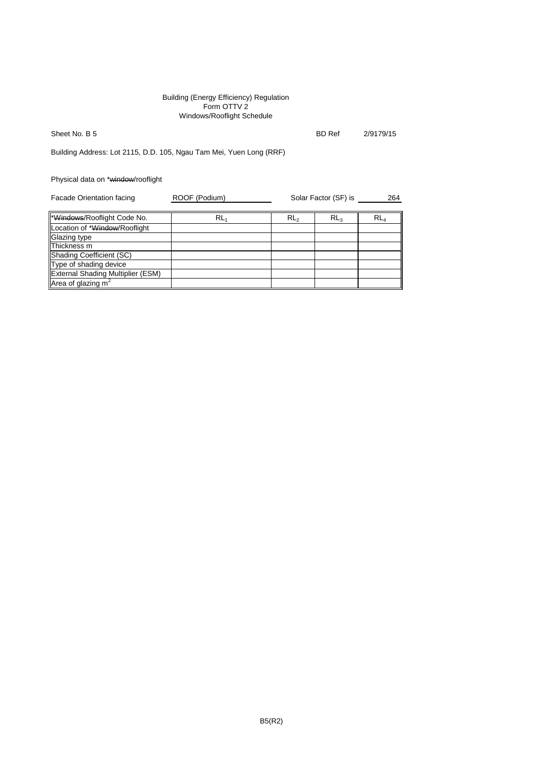#### Building (Energy Efficiency) Regulation Form OTTV 2 Windows/Rooflight Schedule

Sheet No. B 5 BD Ref 2/9179/15

Building Address: Lot 2115, D.D. 105, Ngau Tam Mei, Yuen Long (RRF)

Physical data on \*window/rooflight

| Facade Orientation facing                | ROOF (Podium) | Solar Factor (SF) is |                 | 264             |  |
|------------------------------------------|---------------|----------------------|-----------------|-----------------|--|
| *Windows/Rooflight Code No.              | $RL_1$        | RL <sub>2</sub>      | RL <sub>3</sub> | RL <sub>4</sub> |  |
| Location of *Window/Rooflight            |               |                      |                 |                 |  |
| Glazing type                             |               |                      |                 |                 |  |
| Thickness m                              |               |                      |                 |                 |  |
| Shading Coefficient (SC)                 |               |                      |                 |                 |  |
| Type of shading device                   |               |                      |                 |                 |  |
| <b>External Shading Multiplier (ESM)</b> |               |                      |                 |                 |  |
| Area of glazing $m2$                     |               |                      |                 |                 |  |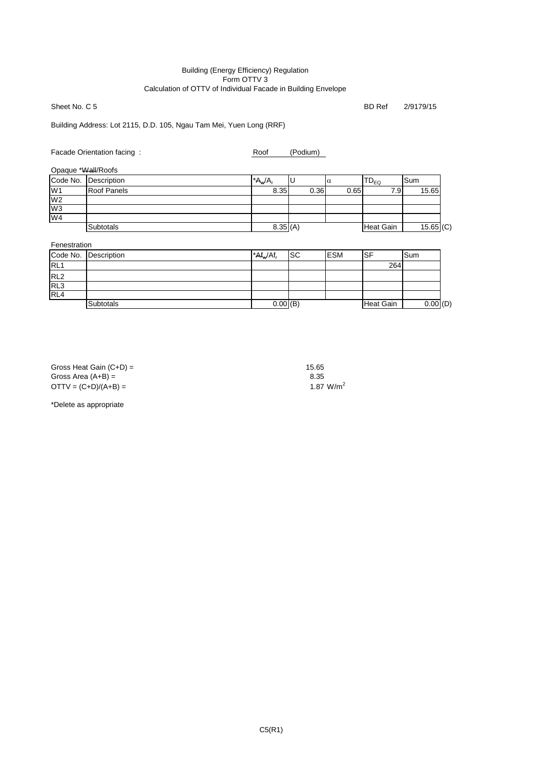#### Building (Energy Efficiency) Regulation Form OTTV 3 Calculation of OTTV of Individual Facade in Building Envelope

Sheet No. C 5 BD Ref 2/9179/15

Building Address: Lot 2115, D.D. 105, Ngau Tam Mei, Yuen Long (RRF)

Facade Orientation facing : Roof (Podium)

| Opaque *Wall/Roofs |  |
|--------------------|--|
|                    |  |

|                | Code No. Description | $^*A_w/A_r$ |      | $\alpha$ | $\mathsf{TD}_\mathsf{EQ}$ | lSum        |
|----------------|----------------------|-------------|------|----------|---------------------------|-------------|
| W <sub>1</sub> | <b>Roof Panels</b>   | 8.35        | 0.36 | 0.65     | 7.91                      | 15.65       |
| W <sub>2</sub> |                      |             |      |          |                           |             |
| W <sub>3</sub> |                      |             |      |          |                           |             |
| W <sub>4</sub> |                      |             |      |          |                           |             |
|                | <b>Subtotals</b>     | 8.35(A)     |      |          | <b>Heat Gain</b>          | $15.65$ (C) |

Fenestration

|                 | Code No. Description | $A f_w / Af_r$ | <b>SC</b> | <b>ESM</b> | SF        | Sum        |
|-----------------|----------------------|----------------|-----------|------------|-----------|------------|
| RL <sub>1</sub> |                      |                |           |            | 264       |            |
| RL <sub>2</sub> |                      |                |           |            |           |            |
| RL3             |                      |                |           |            |           |            |
| RL4             |                      |                |           |            |           |            |
|                 | <b>Subtotals</b>     | 0.00(B)        |           |            | Heat Gain | 0.00   (D) |

Gross Heat Gain  $(C+D) =$  15.65 Gross Area  $(A+B)$  = 8.35  $OTTV = (C+D)/(A+B) =$  1.87 W/m<sup>2</sup>

\*Delete as appropriate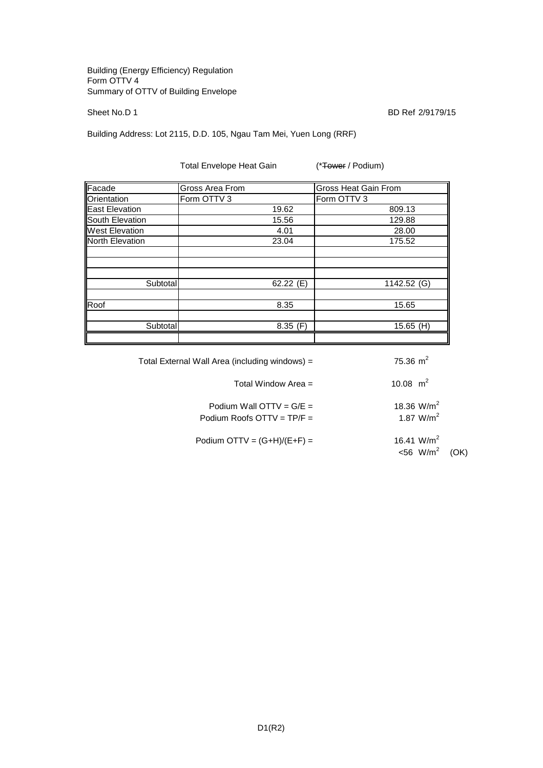#### Building (Energy Efficiency) Regulation Form OTTV 4 Summary of OTTV of Building Envelope

Sheet No.D 1 BD Ref 2/9179/15

Building Address: Lot 2115, D.D. 105, Ngau Tam Mei, Yuen Long (RRF)

Total Envelope Heat Gain (\*Tower / Podium)

| Facade                | Gross Area From | <b>Gross Heat Gain From</b> |
|-----------------------|-----------------|-----------------------------|
| Orientation           | Form OTTV 3     | Form OTTV 3                 |
| East Elevation        | 19.62           | 809.13                      |
| South Elevation       | 15.56           | 129.88                      |
| <b>West Elevation</b> | 4.01            | 28.00                       |
| North Elevation       | 23.04           | 175.52                      |
|                       |                 |                             |
|                       |                 |                             |
|                       |                 |                             |
| Subtotal              | 62.22 $(E)$     | 1142.52 (G)                 |
|                       |                 |                             |
| Roof                  | 8.35            | 15.65                       |
|                       |                 |                             |
| Subtotal              | 8.35(F)         | $15.65$ (H)                 |
|                       |                 |                             |

| 75.36 $m2$                                          | Total External Wall Area (including windows) =             |  |  |  |
|-----------------------------------------------------|------------------------------------------------------------|--|--|--|
| 10.08 $m^2$                                         | Total Window Area =                                        |  |  |  |
| 18.36 $W/m2$<br>1.87 $W/m^2$                        | Podium Wall OTTV = $G/E =$<br>Podium Roofs OTTV = $TP/F =$ |  |  |  |
| 16.41 W/m <sup>2</sup><br><56 W/m <sup>2</sup> (OK) | Podium OTTV = $(G+H)/(E+F)$ =                              |  |  |  |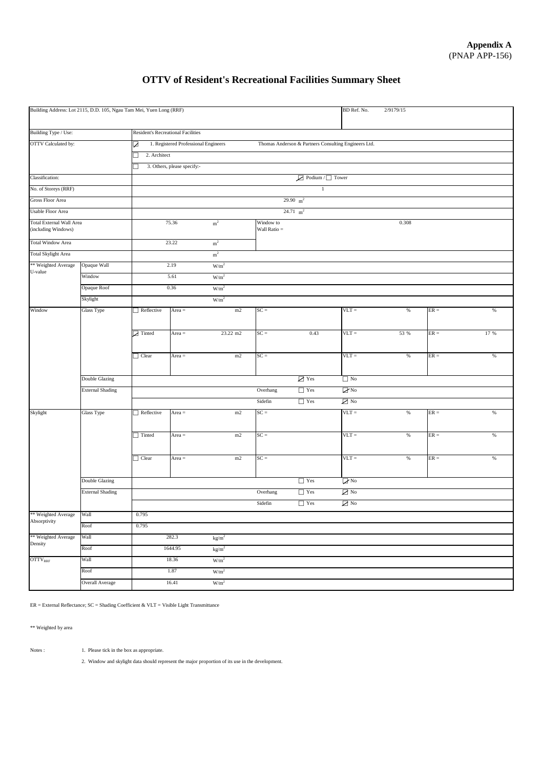# **OTTV of Resident's Recreational Facilities Summary Sheet**

| Building Address: Lot 2115, D.D. 105, Ngau Tam Mei, Yuen Long (RRF)           |                         |                                           |                                                                                              |                        |                             |                     | BD Ref. No.                      | 2/9179/15 |        |      |  |  |
|-------------------------------------------------------------------------------|-------------------------|-------------------------------------------|----------------------------------------------------------------------------------------------|------------------------|-----------------------------|---------------------|----------------------------------|-----------|--------|------|--|--|
| Building Type / Use:                                                          |                         | <b>Resident's Recreational Facilities</b> |                                                                                              |                        |                             |                     |                                  |           |        |      |  |  |
| <b>OTTV</b> Calculated by:                                                    |                         | Z                                         | 1. Registered Professional Engineers<br>Thomas Anderson & Partners Consulting Engineers Ltd. |                        |                             |                     |                                  |           |        |      |  |  |
|                                                                               |                         | 2. Architect                              |                                                                                              |                        |                             |                     |                                  |           |        |      |  |  |
| 3. Others, please specify:-                                                   |                         |                                           |                                                                                              |                        |                             |                     |                                  |           |        |      |  |  |
| Classification:<br>$\boxed{\phantom{1}}$ Podium / $\boxed{\phantom{1}}$ Tower |                         |                                           |                                                                                              |                        |                             |                     |                                  |           |        |      |  |  |
| No. of Storeys (RRF)                                                          |                         |                                           |                                                                                              |                        |                             | $\mathbf{1}$        |                                  |           |        |      |  |  |
| <b>Gross Floor Area</b>                                                       |                         |                                           |                                                                                              |                        |                             | 29.90 $m^2$         |                                  |           |        |      |  |  |
| <b>Usable Floor Area</b>                                                      |                         |                                           |                                                                                              |                        |                             | $24.71 \text{ m}^2$ |                                  |           |        |      |  |  |
| <b>Total External Wall Area</b><br>(including Windows)                        |                         |                                           | 75.36                                                                                        | m <sup>2</sup>         | Window to<br>Wall Ratio $=$ |                     |                                  | 0.308     |        |      |  |  |
| <b>Total Window Area</b>                                                      |                         |                                           | 23.22                                                                                        | $\rm m^2$              |                             |                     |                                  |           |        |      |  |  |
| <b>Total Skylight Area</b>                                                    |                         |                                           |                                                                                              | m <sup>2</sup>         |                             |                     |                                  |           |        |      |  |  |
| ** Weighted Average                                                           | Opaque Wall             |                                           | 2.19                                                                                         | W/m <sup>2</sup>       |                             |                     |                                  |           |        |      |  |  |
| U-value<br>Window                                                             |                         |                                           | 5.61                                                                                         | W/m <sup>2</sup>       |                             |                     |                                  |           |        |      |  |  |
|                                                                               | Opaque Roof             |                                           | 0.36                                                                                         | W/m <sup>2</sup>       |                             |                     |                                  |           |        |      |  |  |
|                                                                               | Skylight                |                                           |                                                                                              | W/m <sup>2</sup>       |                             |                     |                                  |           |        |      |  |  |
| Window                                                                        | Glass Type              | $\Box$ Reflective                         | Area $=$                                                                                     | m2                     | $SC =$                      |                     | $VLT =$                          | $\%$      | $ER =$ | $\%$ |  |  |
|                                                                               |                         | $\triangleright$ Tinted                   | Area $=$                                                                                     | 23.22 m2               | $SC =$                      | 0.43                | $VLT =$                          | 53 %      | $ER =$ | 17 % |  |  |
|                                                                               |                         | $\Box$ Clear                              | Area $=$                                                                                     | m2                     | $SC =$                      |                     | $VLT =$                          | $\%$      | $ER =$ | %    |  |  |
|                                                                               | Double Glazing          |                                           |                                                                                              |                        |                             | $\Box$ Yes          | $\Box$ No                        |           |        |      |  |  |
|                                                                               | <b>External Shading</b> |                                           |                                                                                              |                        | Overhang                    | $\Box$ Yes          | $\nabla$ No                      |           |        |      |  |  |
|                                                                               |                         |                                           |                                                                                              |                        | Sidefin                     | $\Box$ Yes          | $\sum$ No                        |           |        |      |  |  |
| Skylight                                                                      | Glass Type              | Reflective                                | Area $=$                                                                                     | m2                     | $SC =$                      |                     | $VLT =$                          | $\%$      | $ER =$ | $\%$ |  |  |
|                                                                               |                         | $\Box$ Tinted                             | Area $=$                                                                                     | $\rm m2$               | $SC =$                      |                     | $VLT =$                          | $\%$      | $ER =$ | %    |  |  |
|                                                                               |                         | $\Box$ Clear                              | Area $=$                                                                                     | m2                     | $SC =$                      |                     | $VLT =$                          | $\%$      | $ER =$ | $\%$ |  |  |
|                                                                               | Double Glazing          |                                           |                                                                                              |                        |                             | $\Box$ Yes          | $\n  o$                          |           |        |      |  |  |
|                                                                               | <b>External Shading</b> |                                           |                                                                                              |                        | Overhang                    | $\hfill\Box$<br>Yes | $\overline{\bigtriangledown}$ No |           |        |      |  |  |
|                                                                               |                         |                                           |                                                                                              |                        | Sidefin                     | $\hfill\Box$<br>Yes | $\sum$ No                        |           |        |      |  |  |
| ** Weighted Average                                                           | Wall                    | 0.795                                     |                                                                                              |                        |                             |                     |                                  |           |        |      |  |  |
| Absorptivity                                                                  | Roof                    | 0.795                                     |                                                                                              |                        |                             |                     |                                  |           |        |      |  |  |
| ** Weighted Average                                                           | Wall                    |                                           | 282.3                                                                                        | kg/m <sup>2</sup>      |                             |                     |                                  |           |        |      |  |  |
| Density                                                                       | Roof                    |                                           | 1644.95                                                                                      | $\text{kg}/\text{m}^2$ |                             |                     |                                  |           |        |      |  |  |
| $\mathrm{OTTV}_{\mathrm{RRF}}$                                                | Wall                    |                                           | 18.36                                                                                        | W/m <sup>2</sup>       |                             |                     |                                  |           |        |      |  |  |
|                                                                               | Roof                    |                                           | 1.87                                                                                         | W/m <sup>2</sup>       |                             |                     |                                  |           |        |      |  |  |
|                                                                               | Overall Average         |                                           | 16.41                                                                                        | W/m <sup>2</sup>       |                             |                     |                                  |           |        |      |  |  |
|                                                                               |                         |                                           |                                                                                              |                        |                             |                     |                                  |           |        |      |  |  |

ER = External Reflectance; SC = Shading Coefficient & VLT = Visible Light Transmittance

\*\* Weighted by area

Notes : 1. Please tick in the box as appropriate.

2. Window and skylight data should represent the major proportion of its use in the development.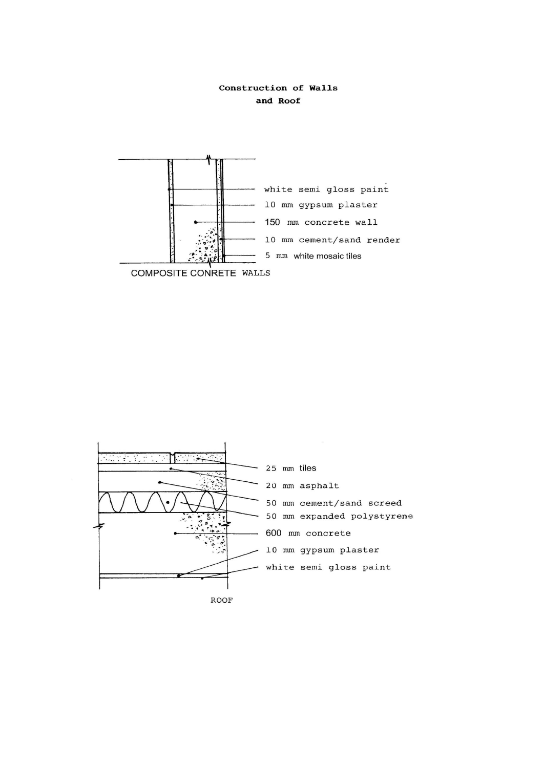## Construction of Walls and Roof



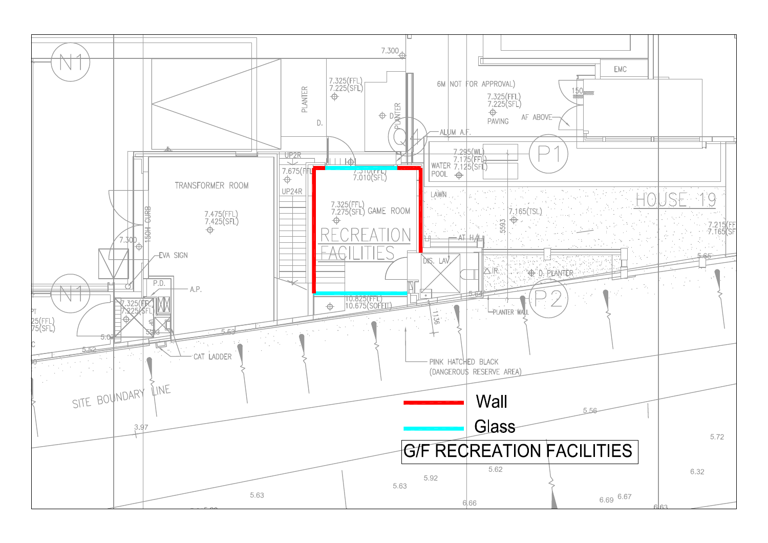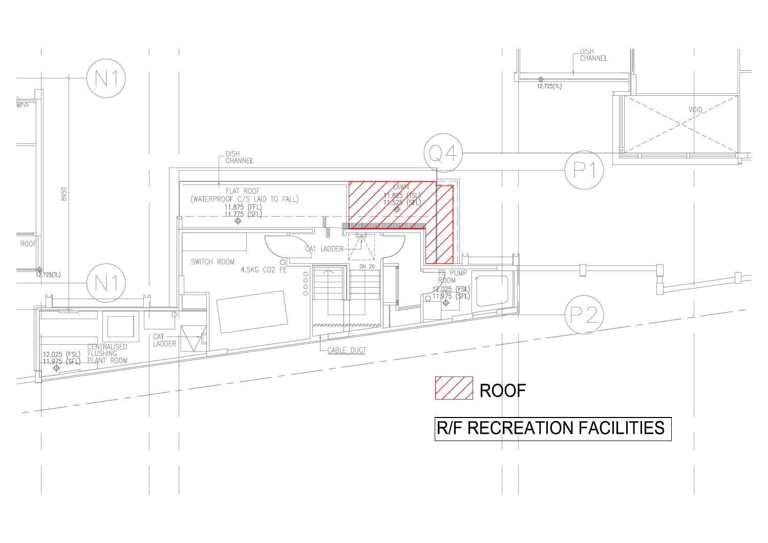